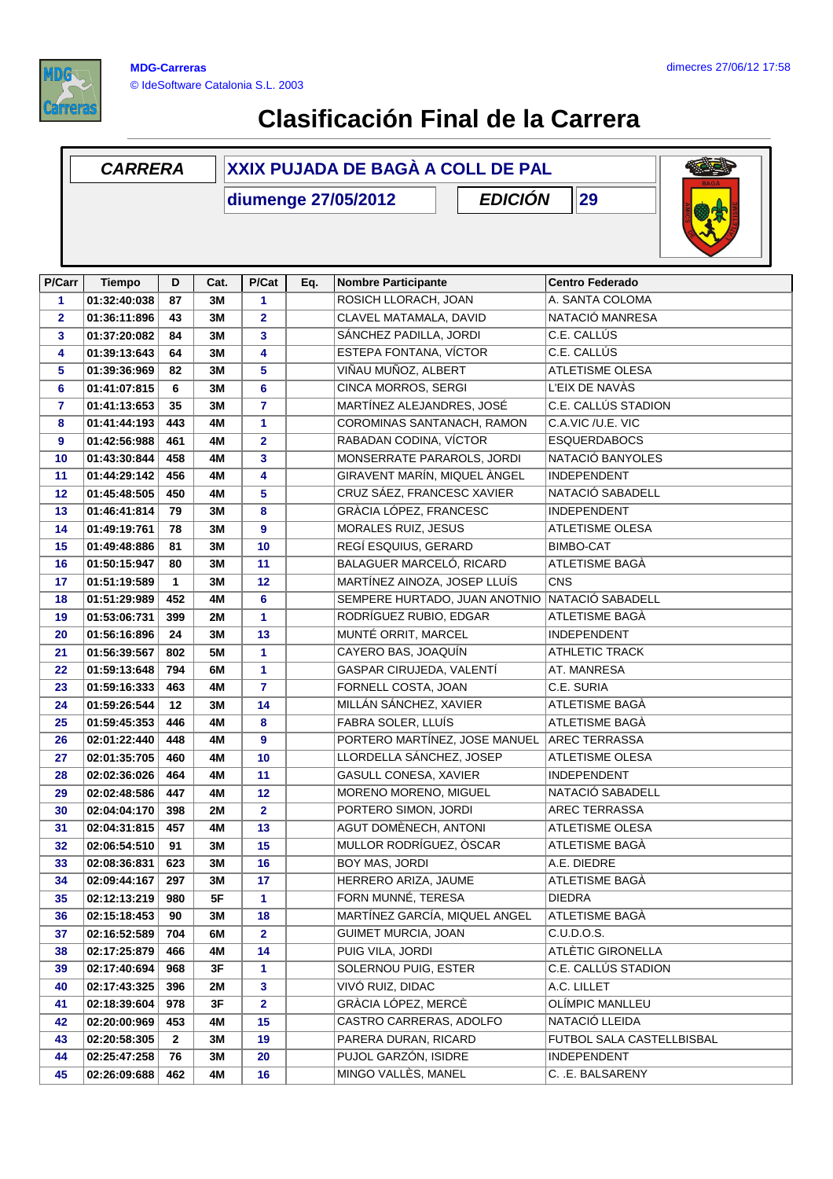

## **Clasificación Final de la Carrera**

## **D Cat. P/Cat Eq. Nombre Participante Centro Federado CARRERA XXIX PUJADA DE BAGÀ A COLL DE PAL diumenge 27/05/2012 P/Carr Tiempo EDICIÓN 29 P/Cat 01:32:40:038 87 3M 1** ROSICH LLORACH, JOAN A. SANTA COLOMA **01:36:11:896 43 3M 2** CLAVEL MATAMALA, DAVID NATACIÓ MANRESA **01:37:20:082 84 3M 3** SÁNCHEZ PADILLA, JORDI C.E. CALLÚS **01:39:13:643 64 3M 4** ESTEPA FONTANA, VÍCTOR C.E. CALLÚS **01:39:36:969 82 3M 5** VIÑAU MUÑOZ, ALBERT ATLETISME OLESA **01:41:07:815 6 3M 6** CINCA MORROS, SERGI L'EIX DE NAVÀS **35** MBL **7** MARTINEZ ALEJANDRES, JOSE C.E. CALLUS STADION **01:41:44:193 443 4M 1 COROMINAS SANTANACH, RAMON C.A.VIC /U.E. VIC 01:42:56:988 461 4M 2** RABADAN CODINA, VÍCTOR ESQUERDABOCS **01:43:30:844 458 4M 3** MONSERRATE PARAROLS, JORDI NATACIÓ BANYOLES **01:44:29:142 456 4M 4** GIRAVENT MARÍN, MIQUEL ÀNGEL INDEPENDENT **01:45:48:505 450 4M 5** CRUZ SÁEZ, FRANCESC XAVIER NATACIÓ SABADELL **01:46:41:814 79 3M 8** GRÀCIA LÓPEZ, FRANCESC INDEPENDENT **01:49:19:761 78 3M 9** MORALES RUIZ, JESUS ATLETISME OLESA **01:49:48:886 81 3M 10** REGÍ ESQUIUS, GERARD BIMBO-CAT **01:50:15:947 80 3M 11** BALAGUER MARCELÓ, RICARD ATLETISME BAGÀ **01:51:19:589 1 3M 12** MARTÍNEZ AINOZA, JOSEP LLUÍS CNS **01:51:29:989 452 4M 6** SEMPERE HURTADO, JUAN ANOTNIO NATACIÓ SABADELL **01:53:06:731 399 2M 1** RODRÍGUEZ RUBIO, EDGAR ATLETISME BAGÀ **01:56:16:896 24 3M 13** MUNTÉ ORRIT, MARCEL INDEPENDENT **01:56:39:567 802 5M 1** CAYERO BAS, JOAQUÍN ATHLETIC TRACK **01:59:13:648 794 6M 1** GASPAR CIRUJEDA, VALENTÍ AT. MANRESA **01:59:16:333 463 4M 7** FORNELL COSTA, JOAN C.E. SURIA **01:59:26:544 12 3M 14** MILLÁN SÁNCHEZ, XAVIER ATLETISME BAGÀ **01:59:45:353 446 4M 8** FABRA SOLER, LLUÍS ATLETISME BAGÀ **02:01:22:440 448 4M 9** PORTERO MARTÍNEZ, JOSE MANUEL AREC TERRASSA **02:01:35:705 460 4M 10** LLORDELLA SÁNCHEZ, JOSEP ATLETISME OLESA **02:02:36:026 464 4M 11** GASULL CONESA, XAVIER INDEPENDENT **02:02:48:586 447 4M 12** MORENO MORENO, MIGUEL NATACIÓ SABADELL **02:04:04:170 398 2M 2** PORTERO SIMON, JORDI AREC TERRASSA **02:04:31:815 457 4M 13** AGUT DOMÈNECH, ANTONI ATLETISME OLESA **02:06:54:510 91 3M 15** MULLOR RODRÍGUEZ, ÒSCAR ATLETISME BAGÀ **02:08:36:831 623 3M 16** BOY MAS, JORDI A.E. DIEDRE **02:09:44:167 297 3M 17** HERRERO ARIZA, JAUME ATLETISME BAGÀ **02:12:13:219 980 5F 1** FORN MUNNÉ, TERESA DIEDRA **02:15:18:453 90 3M 18** MARTÍNEZ GARCÍA, MIQUEL ANGEL ATLETISME BAGÀ **02:16:52:589 704 6M 2** GUIMET MURCIA, JOAN C.U.D.O.S. **02:17:25:879 466 4M 14** PUIG VILA, JORDI ATLÈTIC GIRONELLA **02:17:40:694 968 3F 1** SOLERNOU PUIG, ESTER C.E. CALLÚS STADION **02:17:43:325 396 2M 3** VIVÓ RUIZ, DIDAC A.C. LILLET **02:18:39:604 978 3F 2** GRÀCIA LÓPEZ, MERCÈ OLÍMPIC MANLLEU **02:20:00:969 453 4M 15** CASTRO CARRERAS, ADOLFO NATACIÓ LLEIDA **02:20:58:305 2 3M 19** PARERA DURAN, RICARD FUTBOL SALA CASTELLBISBAL **02:25:47:258 76 3M 20** PUJOL GARZÓN, ISIDRE INDEPENDENT **02:26:09:688 462 4M 16** MINGO VALLÈS, MANEL C. .E. BALSARENY